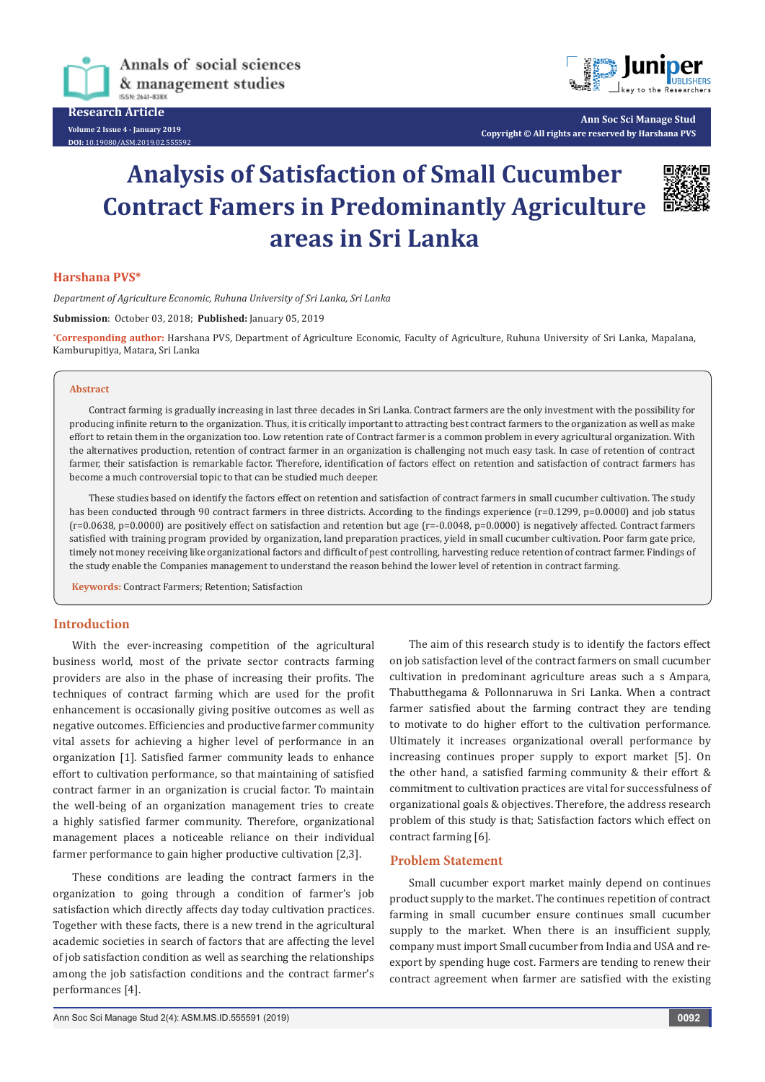

**Research Article Volume 2 Issue 4 - January 2019 DOI:** [10.19080/ASM.2019.02.555592](http://dx.doi.org/10.19080/ASM.2019.02.555592
)



**Ann Soc Sci Manage Stud Copyright © All rights are reserved by Harshana PVS**

# **Analysis of Satisfaction of Small Cucumber Contract Famers in Predominantly Agriculture areas in Sri Lanka**



## **Harshana PVS\***

*Department of Agriculture Economic, Ruhuna University of Sri Lanka, Sri Lanka*

**Submission**: October 03, 2018; **Published:** January 05, 2019

**\* Corresponding author:** Harshana PVS, Department of Agriculture Economic, Faculty of Agriculture, Ruhuna University of Sri Lanka, Mapalana, Kamburupitiya, Matara, Sri Lanka

#### **Abstract**

Contract farming is gradually increasing in last three decades in Sri Lanka. Contract farmers are the only investment with the possibility for producing infinite return to the organization. Thus, it is critically important to attracting best contract farmers to the organization as well as make effort to retain them in the organization too. Low retention rate of Contract farmer is a common problem in every agricultural organization. With the alternatives production, retention of contract farmer in an organization is challenging not much easy task. In case of retention of contract farmer, their satisfaction is remarkable factor. Therefore, identification of factors effect on retention and satisfaction of contract farmers has become a much controversial topic to that can be studied much deeper.

These studies based on identify the factors effect on retention and satisfaction of contract farmers in small cucumber cultivation. The study has been conducted through 90 contract farmers in three districts. According to the findings experience (r=0.1299, p=0.0000) and job status (r=0.0638, p=0.0000) are positively effect on satisfaction and retention but age (r=-0.0048, p=0.0000) is negatively affected. Contract farmers satisfied with training program provided by organization, land preparation practices, yield in small cucumber cultivation. Poor farm gate price, timely not money receiving like organizational factors and difficult of pest controlling, harvesting reduce retention of contract farmer. Findings of the study enable the Companies management to understand the reason behind the lower level of retention in contract farming.

**Keywords:** Contract Farmers; Retention; Satisfaction

## **Introduction**

With the ever-increasing competition of the agricultural business world, most of the private sector contracts farming providers are also in the phase of increasing their profits. The techniques of contract farming which are used for the profit enhancement is occasionally giving positive outcomes as well as negative outcomes. Efficiencies and productive farmer community vital assets for achieving a higher level of performance in an organization [1]. Satisfied farmer community leads to enhance effort to cultivation performance, so that maintaining of satisfied contract farmer in an organization is crucial factor. To maintain the well-being of an organization management tries to create a highly satisfied farmer community. Therefore, organizational management places a noticeable reliance on their individual farmer performance to gain higher productive cultivation [2,3].

These conditions are leading the contract farmers in the organization to going through a condition of farmer's job satisfaction which directly affects day today cultivation practices. Together with these facts, there is a new trend in the agricultural academic societies in search of factors that are affecting the level of job satisfaction condition as well as searching the relationships among the job satisfaction conditions and the contract farmer's performances [4].

The aim of this research study is to identify the factors effect on job satisfaction level of the contract farmers on small cucumber cultivation in predominant agriculture areas such a s Ampara, Thabutthegama & Pollonnaruwa in Sri Lanka. When a contract farmer satisfied about the farming contract they are tending to motivate to do higher effort to the cultivation performance. Ultimately it increases organizational overall performance by increasing continues proper supply to export market [5]. On the other hand, a satisfied farming community & their effort & commitment to cultivation practices are vital for successfulness of organizational goals & objectives. Therefore, the address research problem of this study is that; Satisfaction factors which effect on contract farming [6].

#### **Problem Statement**

Small cucumber export market mainly depend on continues product supply to the market. The continues repetition of contract farming in small cucumber ensure continues small cucumber supply to the market. When there is an insufficient supply, company must import Small cucumber from India and USA and reexport by spending huge cost. Farmers are tending to renew their contract agreement when farmer are satisfied with the existing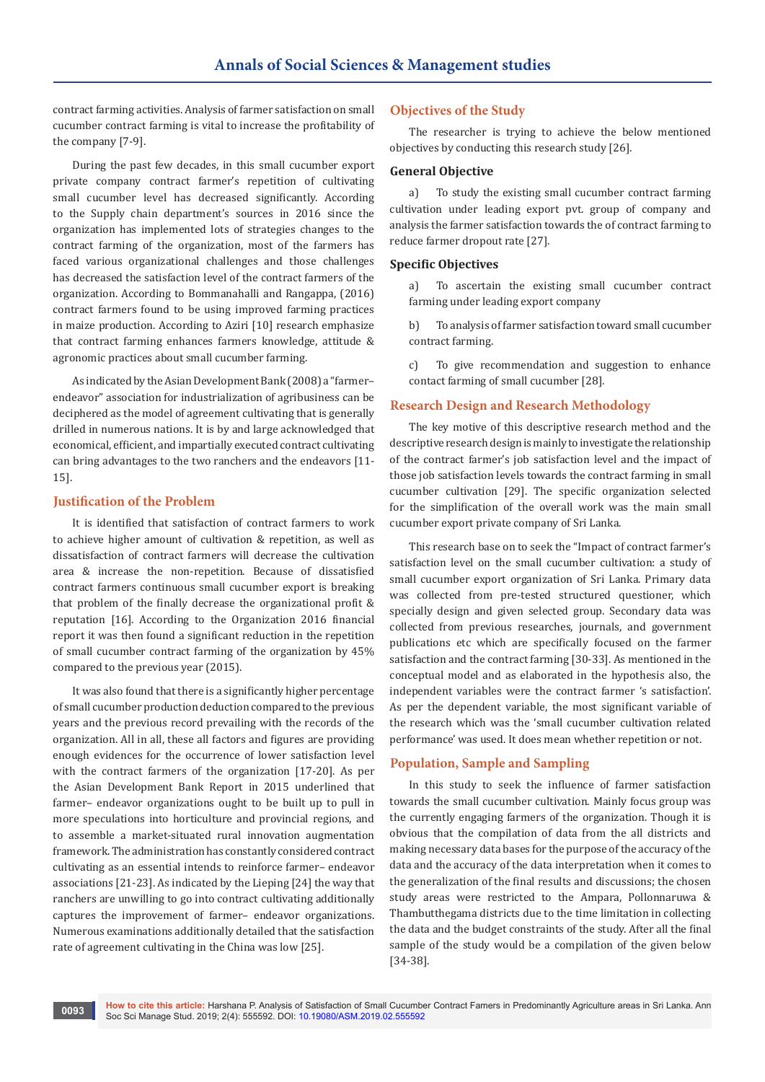contract farming activities. Analysis of farmer satisfaction on small cucumber contract farming is vital to increase the profitability of the company [7-9].

During the past few decades, in this small cucumber export private company contract farmer's repetition of cultivating small cucumber level has decreased significantly. According to the Supply chain department's sources in 2016 since the organization has implemented lots of strategies changes to the contract farming of the organization, most of the farmers has faced various organizational challenges and those challenges has decreased the satisfaction level of the contract farmers of the organization. According to Bommanahalli and Rangappa, (2016) contract farmers found to be using improved farming practices in maize production. According to Aziri [10] research emphasize that contract farming enhances farmers knowledge, attitude & agronomic practices about small cucumber farming.

As indicated by the Asian Development Bank (2008) a "farmer– endeavor" association for industrialization of agribusiness can be deciphered as the model of agreement cultivating that is generally drilled in numerous nations. It is by and large acknowledged that economical, efficient, and impartially executed contract cultivating can bring advantages to the two ranchers and the endeavors [11- 15].

## **Justification of the Problem**

It is identified that satisfaction of contract farmers to work to achieve higher amount of cultivation & repetition, as well as dissatisfaction of contract farmers will decrease the cultivation area & increase the non-repetition. Because of dissatisfied contract farmers continuous small cucumber export is breaking that problem of the finally decrease the organizational profit & reputation [16]. According to the Organization 2016 financial report it was then found a significant reduction in the repetition of small cucumber contract farming of the organization by 45% compared to the previous year (2015).

It was also found that there is a significantly higher percentage of small cucumber production deduction compared to the previous years and the previous record prevailing with the records of the organization. All in all, these all factors and figures are providing enough evidences for the occurrence of lower satisfaction level with the contract farmers of the organization [17-20]. As per the Asian Development Bank Report in 2015 underlined that farmer– endeavor organizations ought to be built up to pull in more speculations into horticulture and provincial regions, and to assemble a market-situated rural innovation augmentation framework. The administration has constantly considered contract cultivating as an essential intends to reinforce farmer– endeavor associations [21-23]. As indicated by the Lieping [24] the way that ranchers are unwilling to go into contract cultivating additionally captures the improvement of farmer– endeavor organizations. Numerous examinations additionally detailed that the satisfaction rate of agreement cultivating in the China was low [25].

## **Objectives of the Study**

The researcher is trying to achieve the below mentioned objectives by conducting this research study [26].

## **General Objective**

a) To study the existing small cucumber contract farming cultivation under leading export pvt. group of company and analysis the farmer satisfaction towards the of contract farming to reduce farmer dropout rate [27].

#### **Specific Objectives**

a) To ascertain the existing small cucumber contract farming under leading export company

b) To analysis of farmer satisfaction toward small cucumber contract farming.

c) To give recommendation and suggestion to enhance contact farming of small cucumber [28].

#### **Research Design and Research Methodology**

The key motive of this descriptive research method and the descriptive research design is mainly to investigate the relationship of the contract farmer's job satisfaction level and the impact of those job satisfaction levels towards the contract farming in small cucumber cultivation [29]. The specific organization selected for the simplification of the overall work was the main small cucumber export private company of Sri Lanka.

This research base on to seek the "Impact of contract farmer's satisfaction level on the small cucumber cultivation: a study of small cucumber export organization of Sri Lanka. Primary data was collected from pre-tested structured questioner, which specially design and given selected group. Secondary data was collected from previous researches, journals, and government publications etc which are specifically focused on the farmer satisfaction and the contract farming [30-33]. As mentioned in the conceptual model and as elaborated in the hypothesis also, the independent variables were the contract farmer 's satisfaction'. As per the dependent variable, the most significant variable of the research which was the 'small cucumber cultivation related performance' was used. It does mean whether repetition or not.

### **Population, Sample and Sampling**

In this study to seek the influence of farmer satisfaction towards the small cucumber cultivation. Mainly focus group was the currently engaging farmers of the organization. Though it is obvious that the compilation of data from the all districts and making necessary data bases for the purpose of the accuracy of the data and the accuracy of the data interpretation when it comes to the generalization of the final results and discussions; the chosen study areas were restricted to the Ampara, Pollonnaruwa & Thambutthegama districts due to the time limitation in collecting the data and the budget constraints of the study. After all the final sample of the study would be a compilation of the given below [34-38].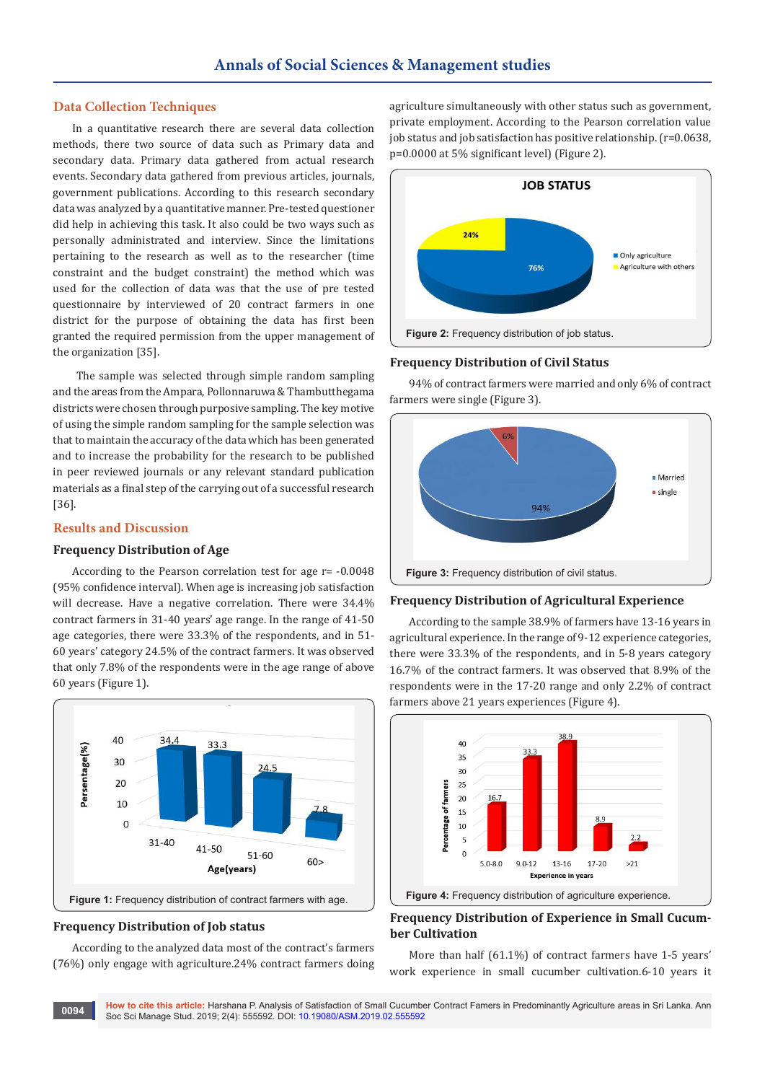## **Data Collection Techniques**

In a quantitative research there are several data collection methods, there two source of data such as Primary data and secondary data. Primary data gathered from actual research events. Secondary data gathered from previous articles, journals, government publications. According to this research secondary data was analyzed by a quantitative manner. Pre-tested questioner did help in achieving this task. It also could be two ways such as personally administrated and interview. Since the limitations pertaining to the research as well as to the researcher (time constraint and the budget constraint) the method which was used for the collection of data was that the use of pre tested questionnaire by interviewed of 20 contract farmers in one district for the purpose of obtaining the data has first been granted the required permission from the upper management of the organization [35].

 The sample was selected through simple random sampling and the areas from the Ampara, Pollonnaruwa & Thambutthegama districts were chosen through purposive sampling. The key motive of using the simple random sampling for the sample selection was that to maintain the accuracy of the data which has been generated and to increase the probability for the research to be published in peer reviewed journals or any relevant standard publication materials as a final step of the carrying out of a successful research [36].

## **Results and Discussion**

#### **Frequency Distribution of Age**

According to the Pearson correlation test for age r= -0.0048 (95% confidence interval). When age is increasing job satisfaction will decrease. Have a negative correlation. There were 34.4% contract farmers in 31-40 years' age range. In the range of 41-50 age categories, there were 33.3% of the respondents, and in 51- 60 years' category 24.5% of the contract farmers. It was observed that only 7.8% of the respondents were in the age range of above 60 years (Figure 1).



### **Frequency Distribution of Job status**

According to the analyzed data most of the contract's farmers (76%) only engage with agriculture.24% contract farmers doing agriculture simultaneously with other status such as government, private employment. According to the Pearson correlation value job status and job satisfaction has positive relationship. (r=0.0638, p=0.0000 at 5% significant level) (Figure 2).



## **Frequency Distribution of Civil Status**

94% of contract farmers were married and only 6% of contract farmers were single (Figure 3).



## **Figure 3:** Frequency distribution of civil status.

#### **Frequency Distribution of Agricultural Experience**

According to the sample 38.9% of farmers have 13-16 years in agricultural experience. In the range of 9-12 experience categories, there were 33.3% of the respondents, and in 5-8 years category 16.7% of the contract farmers. It was observed that 8.9% of the respondents were in the 17-20 range and only 2.2% of contract farmers above 21 years experiences (Figure 4).



## **Frequency Distribution of Experience in Small Cucumber Cultivation**

More than half (61.1%) of contract farmers have 1-5 years' work experience in small cucumber cultivation.6-10 years it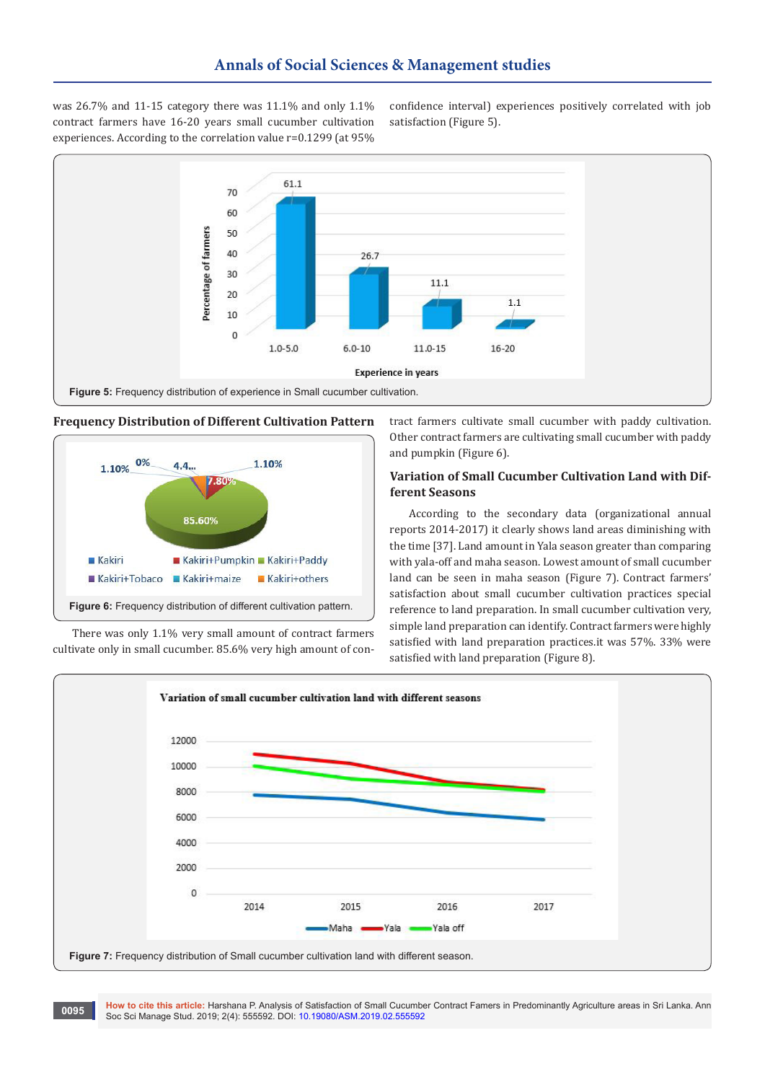was 26.7% and 11-15 category there was 11.1% and only 1.1% contract farmers have 16-20 years small cucumber cultivation experiences. According to the correlation value r=0.1299 (at 95%

confidence interval) experiences positively correlated with job satisfaction (Figure 5).



## **Frequency Distribution of Different Cultivation Pattern**



There was only 1.1% very small amount of contract farmers cultivate only in small cucumber. 85.6% very high amount of contract farmers cultivate small cucumber with paddy cultivation. Other contract farmers are cultivating small cucumber with paddy and pumpkin (Figure 6).

## **Variation of Small Cucumber Cultivation Land with Different Seasons**

According to the secondary data (organizational annual reports 2014-2017) it clearly shows land areas diminishing with the time [37]. Land amount in Yala season greater than comparing with yala-off and maha season. Lowest amount of small cucumber land can be seen in maha season (Figure 7). Contract farmers' satisfaction about small cucumber cultivation practices special reference to land preparation. In small cucumber cultivation very, simple land preparation can identify. Contract farmers were highly satisfied with land preparation practices.it was 57%. 33% were satisfied with land preparation (Figure 8).



**How to cite this article:** Harshana P. Analysis of Satisfaction of Small Cucumber Contract Famers in Predominantly Agriculture areas in Sri Lanka. Ann Soc Sci Manage Stud. 2019; 2(4): 555592. DOI: [10.19080/ASM.2019.02.555592](http://dx.doi.org/10.19080/ASM.2019.02.555592
) **<sup>0095</sup>**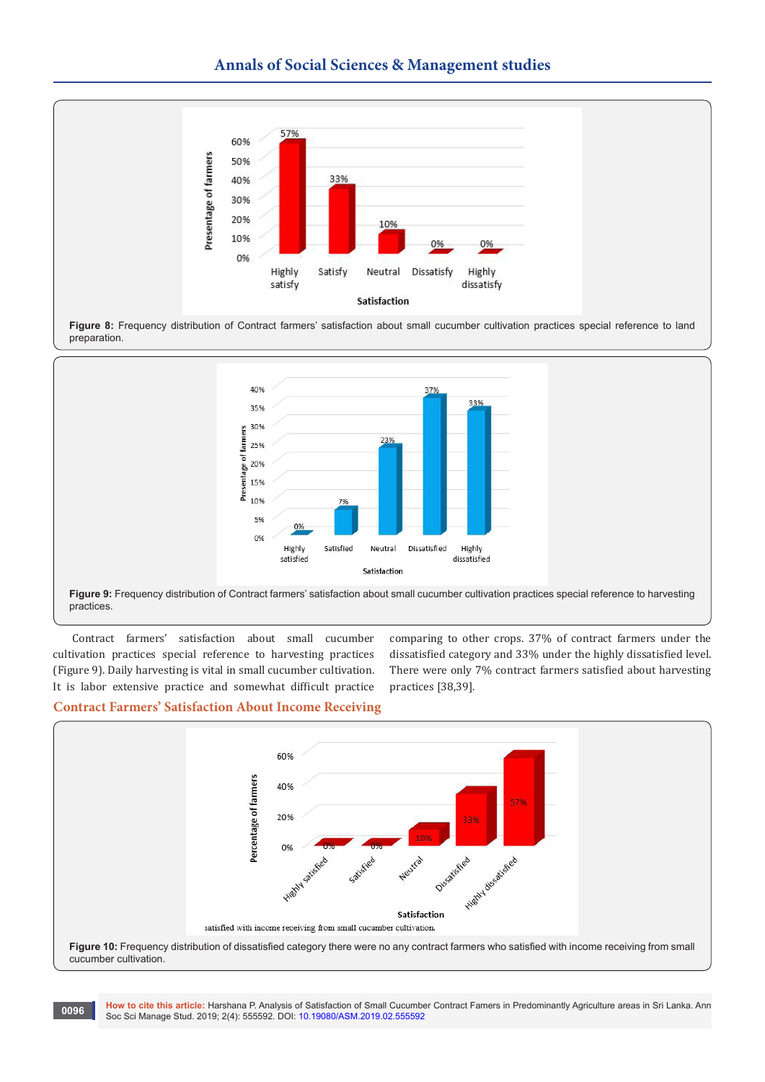# **Annals of Social Sciences & Management studies**



**Figure 8:** Frequency distribution of Contract farmers' satisfaction about small cucumber cultivation practices special reference to land preparation.



**Figure 9:** Frequency distribution of Contract farmers' satisfaction about small cucumber cultivation practices special reference to harvesting practices.

Contract farmers' satisfaction about small cucumber cultivation practices special reference to harvesting practices (Figure 9). Daily harvesting is vital in small cucumber cultivation. It is labor extensive practice and somewhat difficult practice

comparing to other crops. 37% of contract farmers under the dissatisfied category and 33% under the highly dissatisfied level. There were only 7% contract farmers satisfied about harvesting practices [38,39].

#### **Contract Farmers' Satisfaction About Income Receiving**



**How to cite this article:** Harshana P. Analysis of Satisfaction of Small Cucumber Contract Famers in Predominantly Agriculture areas in Sri Lanka. Ann Soc Sci Manage Stud. 2019; 2(4): 555592. DOI: [10.19080/ASM.2019.02.555592](http://dx.doi.org/10.19080/ASM.2019.02.555592
) **<sup>0096</sup>**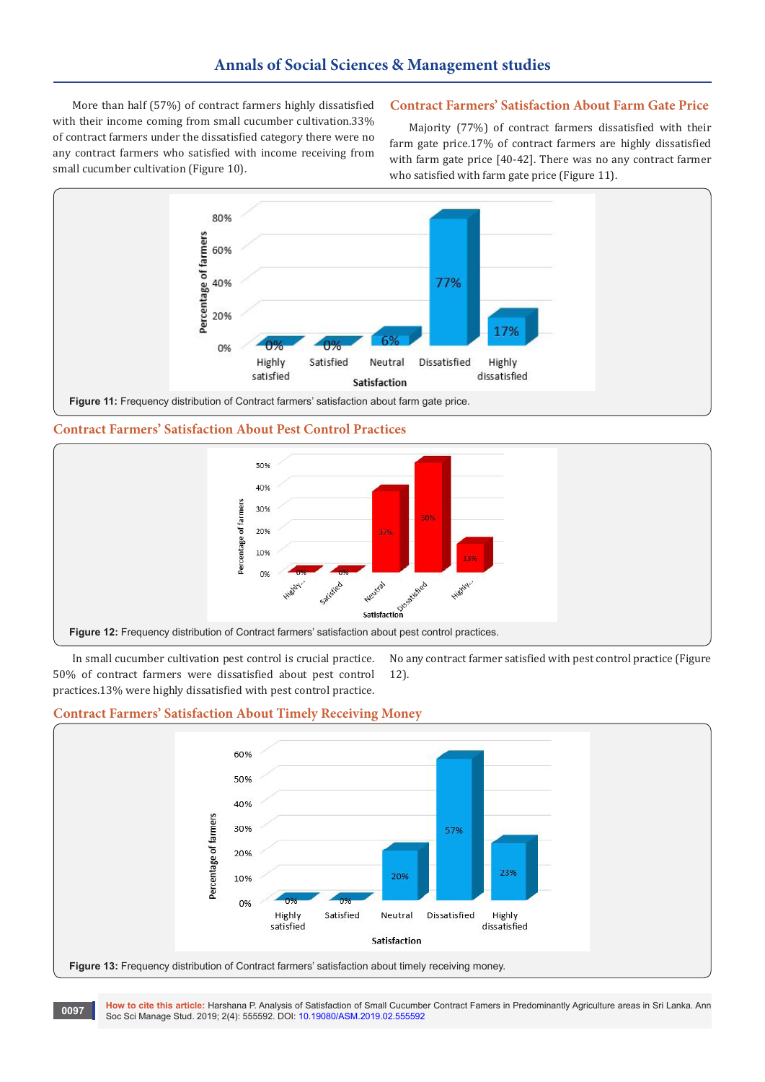More than half (57%) of contract farmers highly dissatisfied with their income coming from small cucumber cultivation.33% of contract farmers under the dissatisfied category there were no any contract farmers who satisfied with income receiving from small cucumber cultivation (Figure 10).

# **Contract Farmers' Satisfaction About Farm Gate Price**

Majority (77%) of contract farmers dissatisfied with their farm gate price.17% of contract farmers are highly dissatisfied with farm gate price [40-42]. There was no any contract farmer who satisfied with farm gate price (Figure 11).



**Contract Farmers' Satisfaction About Pest Control Practices**



In small cucumber cultivation pest control is crucial practice. 50% of contract farmers were dissatisfied about pest control 12).

No any contract farmer satisfied with pest control practice (Figure

## **Contract Farmers' Satisfaction About Timely Receiving Money**

practices.13% were highly dissatisfied with pest control practice.



**How to cite this article:** Harshana P. Analysis of Satisfaction of Small Cucumber Contract Famers in Predominantly Agriculture areas in Sri Lanka. Ann **Soc Sci Manage Stud. 2019; 2(4): 555592. DOI: [10.19080/ASM.2019.02.555592](http://dx.doi.org/10.19080/ASM.2019.02.555592
)**<br>Soc Sci Manage Stud. 2019; 2(4): 555592. DOI: 10.19080/ASM.2019.02.555592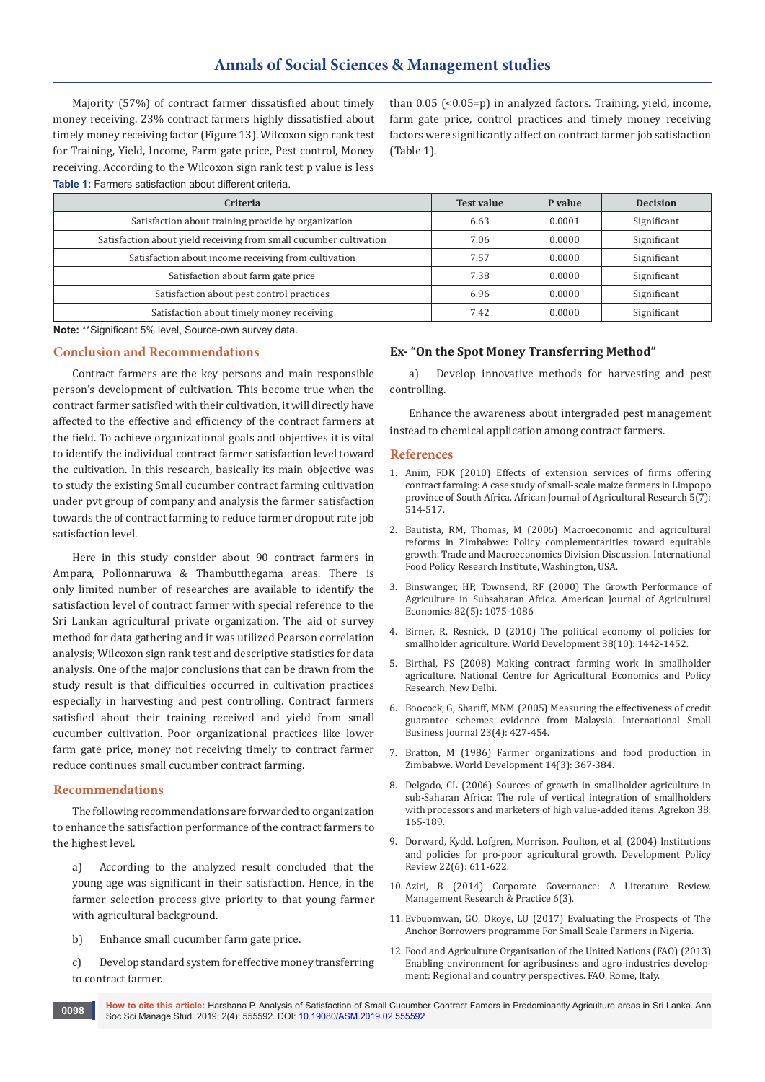Majority (57%) of contract farmer dissatisfied about timely money receiving. 23% contract farmers highly dissatisfied about timely money receiving factor (Figure 13). Wilcoxon sign rank test for Training, Yield, Income, Farm gate price, Pest control, Money receiving. According to the Wilcoxon sign rank test p value is less **Table 1:** Farmers satisfaction about different criteria.

than 0.05 (<0.05=p) in analyzed factors. Training, yield, income, farm gate price, control practices and timely money receiving factors were significantly affect on contract farmer job satisfaction (Table 1).

| Criteria                                                           | <b>Test value</b> | P value | <b>Decision</b> |
|--------------------------------------------------------------------|-------------------|---------|-----------------|
| Satisfaction about training provide by organization                | 6.63              | 0.0001  | Significant     |
| Satisfaction about yield receiving from small cucumber cultivation | 7.06              | 0.0000  | Significant     |
| Satisfaction about income receiving from cultivation               | 7.57              | 0.0000  | Significant     |
| Satisfaction about farm gate price                                 | 7.38              | 0.0000  | Significant     |
| Satisfaction about pest control practices                          | 6.96              | 0.0000  | Significant     |
| Satisfaction about timely money receiving                          | 7.42              | 0.0000  | Significant     |

**Note:** \*\*Significant 5% level, Source-own survey data.

#### **Conclusion and Recommendations**

Contract farmers are the key persons and main responsible person's development of cultivation. This become true when the contract farmer satisfied with their cultivation, it will directly have affected to the effective and efficiency of the contract farmers at the field. To achieve organizational goals and objectives it is vital to identify the individual contract farmer satisfaction level toward the cultivation. In this research, basically its main objective was to study the existing Small cucumber contract farming cultivation under pvt group of company and analysis the farmer satisfaction towards the of contract farming to reduce farmer dropout rate job satisfaction level.

Here in this study consider about 90 contract farmers in Ampara, Pollonnaruwa & Thambutthegama areas. There is only limited number of researches are available to identify the satisfaction level of contract farmer with special reference to the Sri Lankan agricultural private organization. The aid of survey method for data gathering and it was utilized Pearson correlation analysis; Wilcoxon sign rank test and descriptive statistics for data analysis. One of the major conclusions that can be drawn from the study result is that difficulties occurred in cultivation practices especially in harvesting and pest controlling. Contract farmers satisfied about their training received and yield from small cucumber cultivation. Poor organizational practices like lower farm gate price, money not receiving timely to contract farmer reduce continues small cucumber contract farming.

#### **Recommendations**

The following recommendations are forwarded to organization to enhance the satisfaction performance of the contract farmers to the highest level.

a) According to the analyzed result concluded that the young age was significant in their satisfaction. Hence, in the farmer selection process give priority to that young farmer with agricultural background.

b) Enhance small cucumber farm gate price.

c) Develop standard system for effective money transferring to contract farmer.

#### **Ex- "On the Spot Money Transferring Method"**

a) Develop innovative methods for harvesting and pest controlling.

Enhance the awareness about intergraded pest management instead to chemical application among contract farmers.

#### **References**

- 1. Anim, FDK (2010) Effects of extension services of firms offering contract farming: A case study of small-scale maize farmers in Limpopo province of South Africa. African Journal of Agricultural Research 5(7): 514-517.
- 2. Bautista, RM, Thomas, M (2006) Macroeconomic and agricultural reforms in Zimbabwe: Policy complementarities toward equitable growth. Trade and Macroeconomics Division Discussion. International Food Policy Research Institute, Washington, USA.
- 3. Binswanger, HP, Townsend, RF (2000) The Growth Performance of Agriculture in Subsaharan Africa. American Journal of Agricultural Economics 82(5): 1075-1086
- 4. [Birner, R, Resnick, D \(2010\) The political economy of policies for](https://www.sciencedirect.com/science/article/abs/pii/S0305750X10000975)  [smallholder agriculture. World Development 38\(10\): 1442-1452.](https://www.sciencedirect.com/science/article/abs/pii/S0305750X10000975)
- 5. Birthal, PS (2008) Making contract farming work in smallholder agriculture. National Centre for Agricultural Economics and Policy Research, New Delhi.
- 6. [Boocock, G, Shariff, MNM \(2005\) Measuring the effectiveness of credit](https://journals.sagepub.com/doi/abs/10.1177/0266242605054054)  [guarantee schemes evidence from Malaysia. International Small](https://journals.sagepub.com/doi/abs/10.1177/0266242605054054)  [Business Journal 23\(4\): 427-454.](https://journals.sagepub.com/doi/abs/10.1177/0266242605054054)
- 7. [Bratton, M \(1986\) Farmer organizations and food production in](https://journals.sagepub.com/doi/abs/10.1177/0266242605054054)  [Zimbabwe. World Development 14\(3\): 367-384.](https://journals.sagepub.com/doi/abs/10.1177/0266242605054054)
- 8. [Delgado, CL \(2006\) Sources of growth in smallholder agriculture in](http://citeseerx.ist.psu.edu/viewdoc/download?doi=10.1.1.460.3408&rep=rep1&type=pdf)  [sub-Saharan Africa: The role of vertical integration of smallholders](http://citeseerx.ist.psu.edu/viewdoc/download?doi=10.1.1.460.3408&rep=rep1&type=pdf)  [with processors and marketers of high value-added items. Agrekon 38:](http://citeseerx.ist.psu.edu/viewdoc/download?doi=10.1.1.460.3408&rep=rep1&type=pdf)  [165-189.](http://citeseerx.ist.psu.edu/viewdoc/download?doi=10.1.1.460.3408&rep=rep1&type=pdf)
- 9. [Dorward, Kydd, Lofgren, Morrison, Poulton, et al, \(2004\) Institutions](https://onlinelibrary.wiley.com/doi/abs/10.1111/j.1467-7679.2004.00268.x)  [and policies for pro-poor agricultural growth. Development Policy](https://onlinelibrary.wiley.com/doi/abs/10.1111/j.1467-7679.2004.00268.x)  [Review 22\(6\): 611-622.](https://onlinelibrary.wiley.com/doi/abs/10.1111/j.1467-7679.2004.00268.x)
- 10. Aziri, B (2014) Corporate Governance: A Literature Review. Management Research & Practice 6(3).
- 11. Evbuomwan, GO, Okoye, LU (2017) Evaluating the Prospects of The Anchor Borrowers programme For Small Scale Farmers in Nigeria.
- 12. Food and Agriculture Organisation of the United Nations (FAO) (2013) Enabling environment for agribusiness and agro-industries development: Regional and country perspectives. FAO, Rome, Italy.

**How to cite this article:** Harshana P. Analysis of Satisfaction of Small Cucumber Contract Famers in Predominantly Agriculture areas in Sri Lanka. Ann Soc Sci Manage Stud. 2019; 2(4): 555592. DOI: [10.19080/ASM.2019.02.555592](http://dx.doi.org/10.19080/ASM.2019.02.555592
) **<sup>0098</sup>**